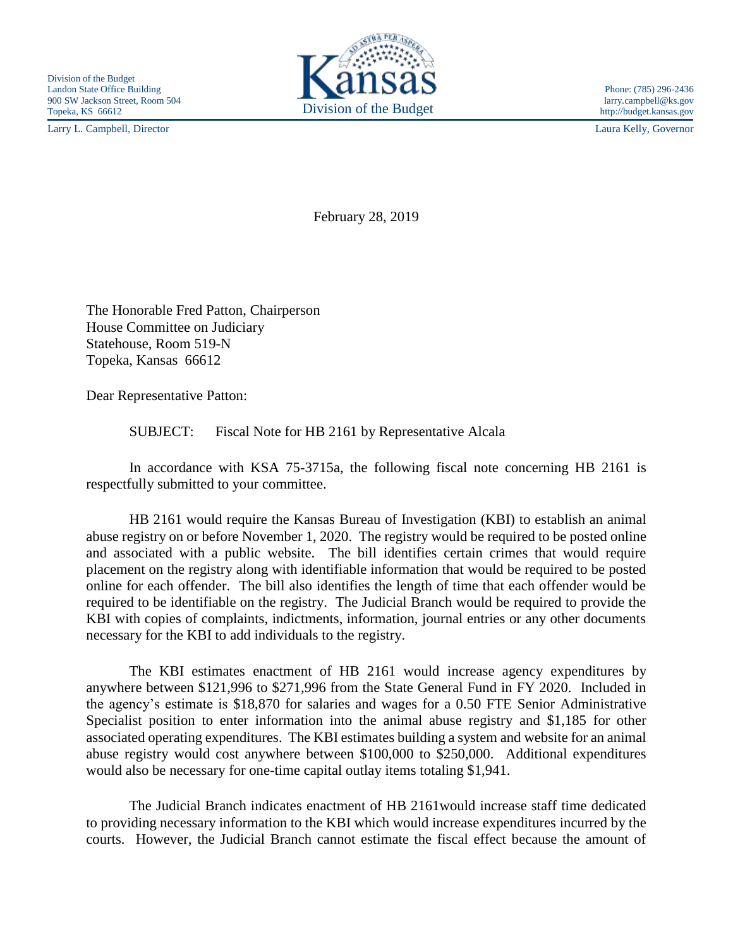Larry L. Campbell, Director Laura Kelly, Governor



http://budget.kansas.gov

February 28, 2019

The Honorable Fred Patton, Chairperson House Committee on Judiciary Statehouse, Room 519-N Topeka, Kansas 66612

Dear Representative Patton:

SUBJECT: Fiscal Note for HB 2161 by Representative Alcala

In accordance with KSA 75-3715a, the following fiscal note concerning HB 2161 is respectfully submitted to your committee.

HB 2161 would require the Kansas Bureau of Investigation (KBI) to establish an animal abuse registry on or before November 1, 2020. The registry would be required to be posted online and associated with a public website. The bill identifies certain crimes that would require placement on the registry along with identifiable information that would be required to be posted online for each offender. The bill also identifies the length of time that each offender would be required to be identifiable on the registry. The Judicial Branch would be required to provide the KBI with copies of complaints, indictments, information, journal entries or any other documents necessary for the KBI to add individuals to the registry.

The KBI estimates enactment of HB 2161 would increase agency expenditures by anywhere between \$121,996 to \$271,996 from the State General Fund in FY 2020. Included in the agency's estimate is \$18,870 for salaries and wages for a 0.50 FTE Senior Administrative Specialist position to enter information into the animal abuse registry and \$1,185 for other associated operating expenditures. The KBI estimates building a system and website for an animal abuse registry would cost anywhere between \$100,000 to \$250,000. Additional expenditures would also be necessary for one-time capital outlay items totaling \$1,941.

The Judicial Branch indicates enactment of HB 2161would increase staff time dedicated to providing necessary information to the KBI which would increase expenditures incurred by the courts. However, the Judicial Branch cannot estimate the fiscal effect because the amount of